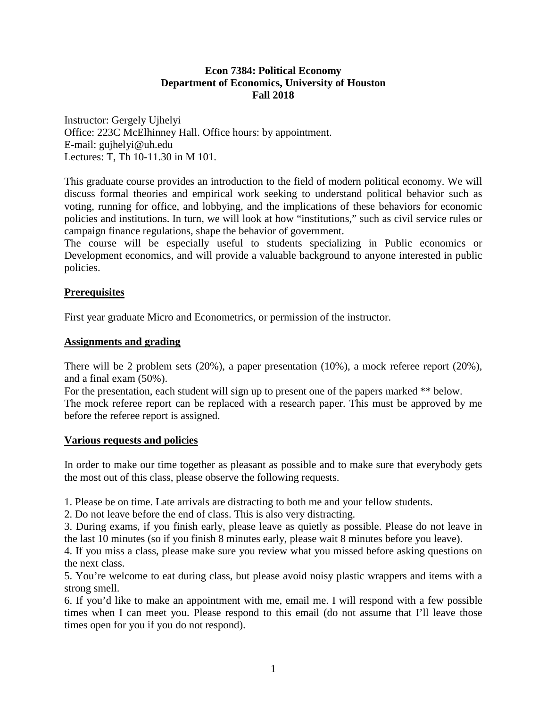# **Econ 7384: Political Economy Department of Economics, University of Houston Fall 2018**

Instructor: Gergely Ujhelyi Office: 223C McElhinney Hall. Office hours: by appointment. E-mail: gujhelyi@uh.edu Lectures: T, Th 10-11.30 in M 101.

This graduate course provides an introduction to the field of modern political economy. We will discuss formal theories and empirical work seeking to understand political behavior such as voting, running for office, and lobbying, and the implications of these behaviors for economic policies and institutions. In turn, we will look at how "institutions," such as civil service rules or campaign finance regulations, shape the behavior of government.

The course will be especially useful to students specializing in Public economics or Development economics, and will provide a valuable background to anyone interested in public policies.

# **Prerequisites**

First year graduate Micro and Econometrics, or permission of the instructor.

## **Assignments and grading**

There will be 2 problem sets (20%), a paper presentation (10%), a mock referee report (20%), and a final exam (50%).

For the presentation, each student will sign up to present one of the papers marked \*\* below. The mock referee report can be replaced with a research paper. This must be approved by me before the referee report is assigned.

## **Various requests and policies**

In order to make our time together as pleasant as possible and to make sure that everybody gets the most out of this class, please observe the following requests.

1. Please be on time. Late arrivals are distracting to both me and your fellow students.

2. Do not leave before the end of class. This is also very distracting.

3. During exams, if you finish early, please leave as quietly as possible. Please do not leave in the last 10 minutes (so if you finish 8 minutes early, please wait 8 minutes before you leave).

4. If you miss a class, please make sure you review what you missed before asking questions on the next class.

5. You're welcome to eat during class, but please avoid noisy plastic wrappers and items with a strong smell.

6. If you'd like to make an appointment with me, email me. I will respond with a few possible times when I can meet you. Please respond to this email (do not assume that I'll leave those times open for you if you do not respond).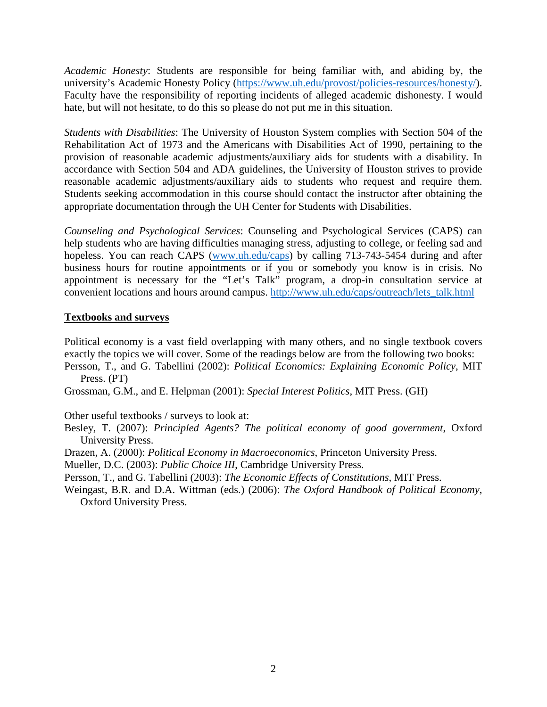*Academic Honesty*: Students are responsible for being familiar with, and abiding by, the university's Academic Honesty Policy [\(https://www.uh.edu/provost/policies-resources/honesty/\)](https://www.uh.edu/provost/policies-resources/honesty/). Faculty have the responsibility of reporting incidents of alleged academic dishonesty. I would hate, but will not hesitate, to do this so please do not put me in this situation.

*Students with Disabilities*: The University of Houston System complies with Section 504 of the Rehabilitation Act of 1973 and the Americans with Disabilities Act of 1990, pertaining to the provision of reasonable academic adjustments/auxiliary aids for students with a disability. In accordance with Section 504 and ADA guidelines, the University of Houston strives to provide reasonable academic adjustments/auxiliary aids to students who request and require them. Students seeking accommodation in this course should contact the instructor after obtaining the appropriate documentation through the UH Center for Students with Disabilities.

*Counseling and Psychological Services*: Counseling and Psychological Services (CAPS) can help students who are having difficulties managing stress, adjusting to college, or feeling sad and hopeless. You can reach CAPS [\(www.uh.edu/caps\)](http://www.uh.edu/caps) by calling 713-743-5454 during and after business hours for routine appointments or if you or somebody you know is in crisis. No appointment is necessary for the "Let's Talk" program, a drop-in consultation service at convenient locations and hours around campus. [http://www.uh.edu/caps/outreach/lets\\_talk.html](http://www.uh.edu/caps/outreach/lets_talk.html)

# **Textbooks and surveys**

Political economy is a vast field overlapping with many others, and no single textbook covers exactly the topics we will cover. Some of the readings below are from the following two books: Persson, T., and G. Tabellini (2002): *Political Economics: Explaining Economic Policy*, MIT

- Press. (PT)
- Grossman, G.M., and E. Helpman (2001): *Special Interest Politics*, MIT Press. (GH)

Other useful textbooks / surveys to look at:

- Besley, T. (2007): *Principled Agents? The political economy of good government*, Oxford University Press.
- Drazen, A. (2000): *Political Economy in Macroeconomics*, Princeton University Press.

Mueller, D.C. (2003): *Public Choice III*, Cambridge University Press.

Persson, T., and G. Tabellini (2003): *The Economic Effects of Constitutions*, MIT Press.

Weingast, B.R. and D.A. Wittman (eds.) (2006): *The Oxford Handbook of Political Economy*, Oxford University Press.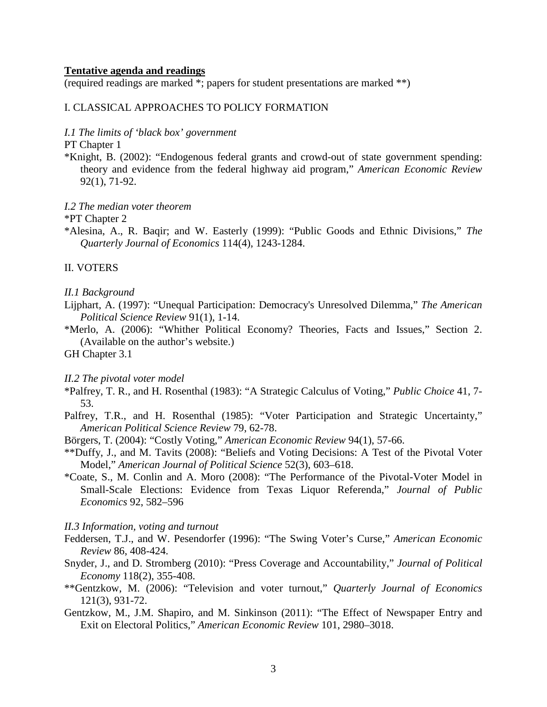### **Tentative agenda and readings**

(required readings are marked \*; papers for student presentations are marked \*\*)

## I. CLASSICAL APPROACHES TO POLICY FORMATION

## *I.1 The limits of 'black box' government*

PT Chapter 1

\*Knight, B. (2002): "Endogenous federal grants and crowd-out of state government spending: theory and evidence from the federal highway aid program," *American Economic Review* 92(1), 71-92.

*I.2 The median voter theorem*

\*PT Chapter 2

\*Alesina, A., R. Baqir; and W. Easterly (1999): "Public Goods and Ethnic Divisions," *The Quarterly Journal of Economics* 114(4), 1243-1284.

## II. VOTERS

#### *II.1 Background*

- Lijphart, A. (1997): "Unequal Participation: Democracy's Unresolved Dilemma," *The American Political Science Review* 91(1), 1-14.
- \*Merlo, A. (2006): "Whither Political Economy? Theories, Facts and Issues," Section 2. (Available on the author's website.)

GH Chapter 3.1

#### *II.2 The pivotal voter model*

- \*Palfrey, T. R., and H. Rosenthal (1983): "A Strategic Calculus of Voting," *Public Choice* 41, 7- 53.
- Palfrey, T.R., and H. Rosenthal (1985): "Voter Participation and Strategic Uncertainty," *American Political Science Review* 79, 62-78.
- Börgers, T. (2004): "Costly Voting," *American Economic Review* 94(1), 57-66.
- \*\*Duffy, J., and M. Tavits (2008): "Beliefs and Voting Decisions: A Test of the Pivotal Voter Model," *American Journal of Political Science* 52(3), 603–618.
- \*Coate, S., M. Conlin and A. Moro (2008): "The Performance of the Pivotal-Voter Model in Small-Scale Elections: Evidence from Texas Liquor Referenda," *Journal of Public Economics* 92, 582–596

#### *II.3 Information, voting and turnout*

- Feddersen, T.J., and W. Pesendorfer (1996): "The Swing Voter's Curse," *American Economic Review* 86, 408-424.
- Snyder, J., and D. Stromberg (2010): "Press Coverage and Accountability," *Journal of Political Economy* 118(2), 355-408.
- \*\*Gentzkow, M. (2006): "Television and voter turnout," *Quarterly Journal of Economics* 121(3), 931-72.
- Gentzkow, M., J.M. Shapiro, and M. Sinkinson (2011): "The Effect of Newspaper Entry and Exit on Electoral Politics," *American Economic Review* 101, 2980–3018.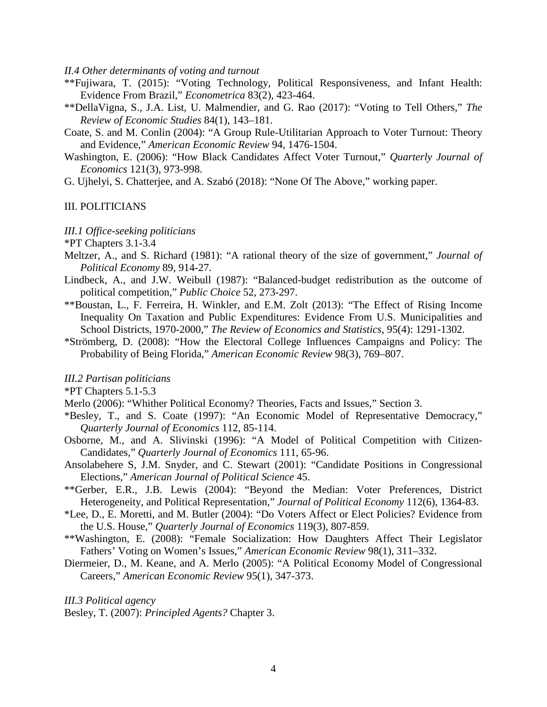*II.4 Other determinants of voting and turnout*

- \*\*Fujiwara, T. (2015): "Voting Technology, Political Responsiveness, and Infant Health: Evidence From Brazil," *Econometrica* 83(2), 423-464.
- \*\*DellaVigna, S., J.A. List, U. Malmendier, and G. Rao (2017): "Voting to Tell Others," *The Review of Economic Studies* 84(1), 143–181.
- Coate, S. and M. Conlin (2004): "A Group Rule-Utilitarian Approach to Voter Turnout: Theory and Evidence," *American Economic Review* 94, 1476-1504.
- Washington, E. (2006): "How Black Candidates Affect Voter Turnout," *Quarterly Journal of Economics* 121(3), 973-998.
- G. Ujhelyi, S. Chatterjee, and A. Szabó (2018): "None Of The Above," working paper.

## III. POLITICIANS

*III.1 Office-seeking politicians*

\*PT Chapters 3.1-3.4

- Meltzer, A., and S. Richard (1981): "A rational theory of the size of government*,*" *Journal of Political Economy* 89, 914-27.
- Lindbeck, A., and J.W. Weibull (1987): "Balanced-budget redistribution as the outcome of political competition," *Public Choice* 52, 273-297.
- \*\*Boustan, L., F. Ferreira, H. Winkler, and E.M. Zolt (2013): "The Effect of Rising Income Inequality On Taxation and Public Expenditures: Evidence From U.S. Municipalities and School Districts, 1970-2000," *The Review of Economics and Statistics*, 95(4): 1291-1302.
- \*Strömberg, D. (2008): "How the Electoral College Influences Campaigns and Policy: The Probability of Being Florida," *American Economic Review* 98(3), 769–807.

### *III.2 Partisan politicians*

\*PT Chapters 5.1-5.3

- Merlo (2006): "Whither Political Economy? Theories, Facts and Issues," Section 3.
- \*Besley, T., and S. Coate (1997): "An Economic Model of Representative Democracy," *Quarterly Journal of Economics* 112, 85-114.
- Osborne, M., and A. Slivinski (1996): "A Model of Political Competition with Citizen-Candidates," *Quarterly Journal of Economics* 111, 65-96.
- Ansolabehere S, J.M. Snyder, and C. Stewart (2001): "Candidate Positions in Congressional Elections," *American Journal of Political Science* 45.
- \*\*Gerber, E.R., J.B. Lewis (2004): "Beyond the Median: Voter Preferences, District Heterogeneity, and Political Representation," *Journal of Political Economy* 112(6), 1364-83.
- \*Lee, D., E. Moretti, and M. Butler (2004): "Do Voters Affect or Elect Policies? Evidence from the U.S. House," *Quarterly Journal of Economics* 119(3), 807-859.
- \*\*Washington, E. (2008): "Female Socialization: How Daughters Affect Their Legislator Fathers' Voting on Women's Issues," *American Economic Review* 98(1), 311–332.
- Diermeier, D., M. Keane, and A. Merlo (2005): "A Political Economy Model of Congressional Careers," *American Economic Review* 95(1), 347-373.

*III.3 Political agency*

Besley, T. (2007): *Principled Agents?* Chapter 3.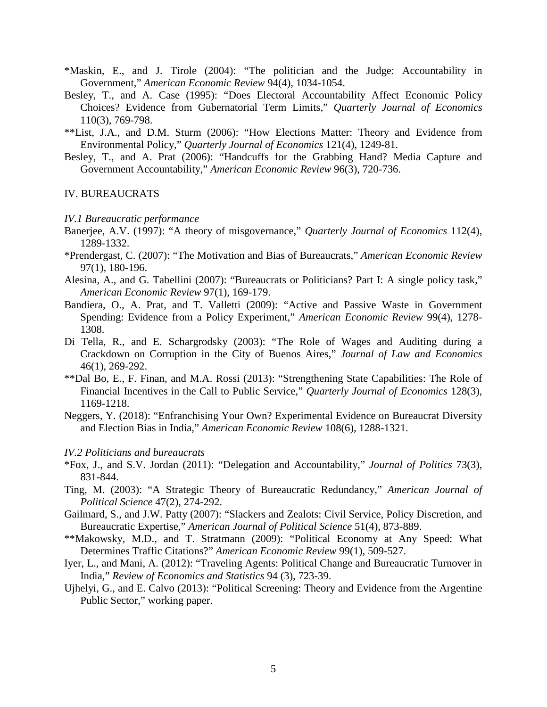- \*Maskin, E., and J. Tirole (2004): "The politician and the Judge: Accountability in Government," *American Economic Review* 94(4), 1034-1054.
- Besley, T., and A. Case (1995): "Does Electoral Accountability Affect Economic Policy Choices? Evidence from Gubernatorial Term Limits," *Quarterly Journal of Economics* 110(3), 769-798.
- \*\*List, J.A., and D.M. Sturm (2006): "How Elections Matter: Theory and Evidence from Environmental Policy," *Quarterly Journal of Economics* 121(4), 1249-81.
- Besley, T., and A. Prat (2006): "Handcuffs for the Grabbing Hand? Media Capture and Government Accountability," *American Economic Review* 96(3), 720-736.

## IV. BUREAUCRATS

#### *IV.1 Bureaucratic performance*

- Banerjee, A.V. (1997): "A theory of misgovernance," *Quarterly Journal of Economics* 112(4), 1289-1332.
- \*Prendergast, C. (2007): "The Motivation and Bias of Bureaucrats," *American Economic Review* 97(1), 180-196.
- Alesina, A., and G. Tabellini (2007): "Bureaucrats or Politicians? Part I: A single policy task," *American Economic Review* 97(1), 169-179.
- Bandiera, O., A. Prat, and T. Valletti (2009): "Active and Passive Waste in Government Spending: Evidence from a Policy Experiment," *American Economic Review* 99(4), 1278- 1308.
- Di Tella, R., and E. Schargrodsky (2003): "The Role of Wages and Auditing during a Crackdown on Corruption in the City of Buenos Aires," *Journal of Law and Economics* 46(1), 269-292.
- \*\*Dal Bo, E., F. Finan, and M.A. Rossi (2013): "Strengthening State Capabilities: The Role of Financial Incentives in the Call to Public Service," *Quarterly Journal of Economics* 128(3), 1169-1218.
- Neggers, Y. (2018): "Enfranchising Your Own? Experimental Evidence on Bureaucrat Diversity and Election Bias in India," *American Economic Review* 108(6), 1288-1321.

### *IV.2 Politicians and bureaucrats*

- \*Fox, J., and S.V. Jordan (2011): "Delegation and Accountability," *Journal of Politics* 73(3), 831-844.
- Ting, M. (2003): "A Strategic Theory of Bureaucratic Redundancy," *American Journal of Political Science* 47(2), 274-292.
- Gailmard, S., and J.W. Patty (2007): "Slackers and Zealots: Civil Service, Policy Discretion, and Bureaucratic Expertise," *American Journal of Political Science* 51(4), 873-889.
- \*\*Makowsky, M.D., and T. Stratmann (2009): "Political Economy at Any Speed: What Determines Traffic Citations?" *American Economic Review* 99(1), 509-527.
- Iyer, L., and Mani, A. (2012): "Traveling Agents: Political Change and Bureaucratic Turnover in India," *Review of Economics and Statistics* 94 (3), 723-39.
- Ujhelyi, G., and E. Calvo (2013): "Political Screening: Theory and Evidence from the Argentine Public Sector," working paper.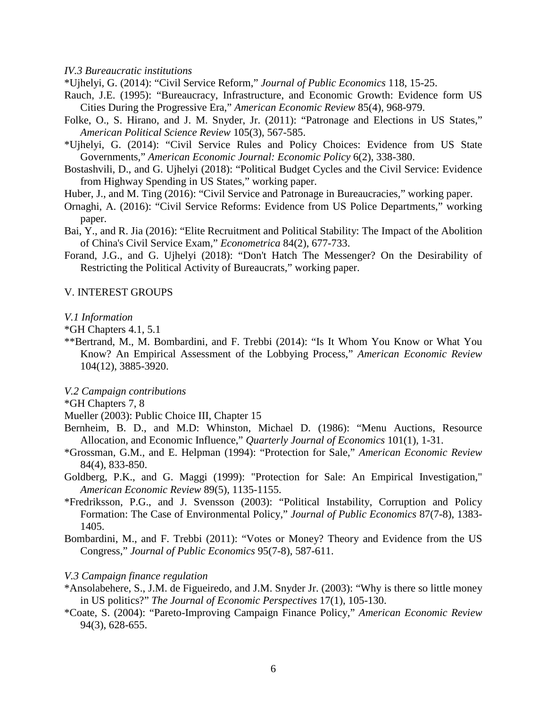*IV.3 Bureaucratic institutions*

\*Ujhelyi, G. (2014): "Civil Service Reform," *Journal of Public Economics* 118, 15-25.

- Rauch, J.E. (1995): "Bureaucracy, Infrastructure, and Economic Growth: Evidence form US Cities During the Progressive Era," *American Economic Review* 85(4), 968-979.
- Folke, O., S. Hirano, and J. M. Snyder, Jr. (2011): "Patronage and Elections in US States," *American Political Science Review* 105(3), 567-585.
- \*Ujhelyi, G. (2014): "Civil Service Rules and Policy Choices: Evidence from US State Governments," *American Economic Journal: Economic Policy* 6(2), 338-380.
- Bostashvili, D., and G. Ujhelyi (2018): "Political Budget Cycles and the Civil Service: Evidence from Highway Spending in US States," working paper.
- Huber, J., and M. Ting (2016): "Civil Service and Patronage in Bureaucracies," working paper.
- Ornaghi, A. (2016): "Civil Service Reforms: Evidence from US Police Departments," working paper.
- Bai, Y., and R. Jia (2016): "Elite Recruitment and Political Stability: The Impact of the Abolition of China's Civil Service Exam," *Econometrica* 84(2), 677-733.
- Forand, J.G., and G. Ujhelyi (2018): "Don't Hatch The Messenger? On the Desirability of Restricting the Political Activity of Bureaucrats," working paper.

## V. INTEREST GROUPS

#### *V.1 Information*

- \*GH Chapters 4.1, 5.1
- \*\*Bertrand, M., M. Bombardini, and F. Trebbi (2014): "Is It Whom You Know or What You Know? An Empirical Assessment of the Lobbying Process," *American Economic Review* 104(12), 3885-3920.
- *V.2 Campaign contributions*
- \*GH Chapters 7, 8
- Mueller (2003): Public Choice III, Chapter 15
- Bernheim, B. D., and M.D: Whinston, Michael D. (1986): "Menu Auctions, Resource Allocation, and Economic Influence," *Quarterly Journal of Economics* 101(1), 1-31.
- \*Grossman, G.M., and E. Helpman (1994): "Protection for Sale," *American Economic Review*  84(4), 833-850.
- Goldberg, P.K., and G. Maggi (1999): "Protection for Sale: An Empirical Investigation," *American Economic Review* 89(5), 1135-1155.
- \*Fredriksson, P.G., and J. Svensson (2003): "Political Instability, Corruption and Policy Formation: The Case of Environmental Policy," *Journal of Public Economics* 87(7-8), 1383- 1405.
- Bombardini, M., and F. Trebbi (2011): "Votes or Money? Theory and Evidence from the US Congress," *Journal of Public Economics* 95(7-8), 587-611.

## *V.3 Campaign finance regulation*

- \*Ansolabehere, S., J.M. de Figueiredo, and J.M. Snyder Jr. (2003): "Why is there so little money in US politics?" *The Journal of Economic Perspectives* 17(1), 105-130.
- \*Coate, S. (2004): "Pareto-Improving Campaign Finance Policy," *American Economic Review* 94(3), 628-655.